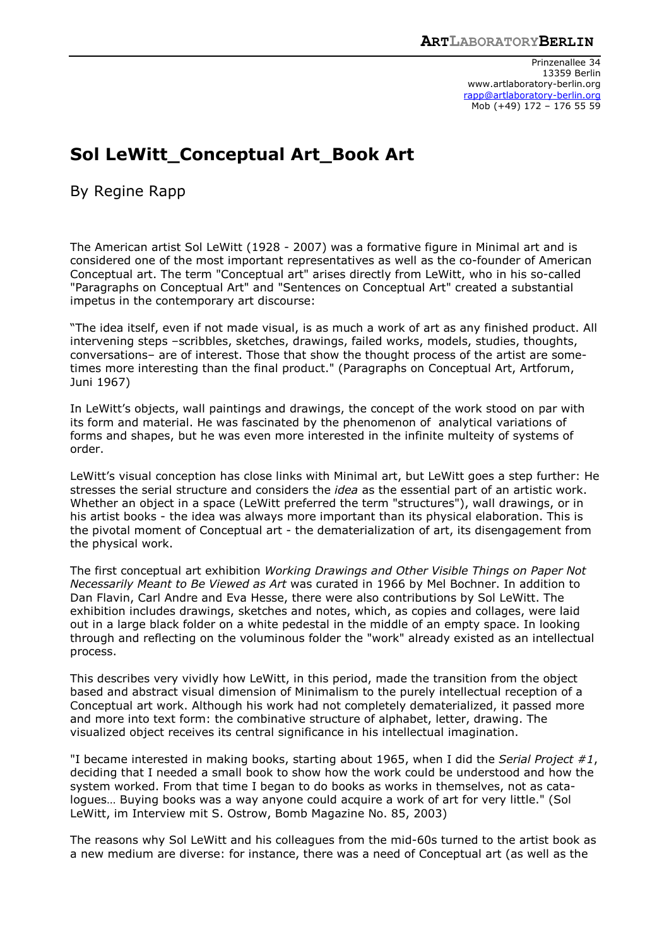Prinzenallee 34 13359 Berlin www.artlaboratory-berlin.org rapp@artlaboratory-berlin.org Mob (+49) 172 – 176 55 59

## **Sol LeWitt\_Conceptual Art\_Book Art**

By Regine Rapp

The American artist Sol LeWitt (1928 - 2007) was a formative figure in Minimal art and is considered one of the most important representatives as well as the co-founder of American Conceptual art. The term "Conceptual art" arises directly from LeWitt, who in his so-called "Paragraphs on Conceptual Art" and "Sentences on Conceptual Art" created a substantial impetus in the contemporary art discourse:

"The idea itself, even if not made visual, is as much a work of art as any finished product. All intervening steps –scribbles, sketches, drawings, failed works, models, studies, thoughts, conversations– are of interest. Those that show the thought process of the artist are sometimes more interesting than the final product." (Paragraphs on Conceptual Art, Artforum, Juni 1967)

In LeWitt's objects, wall paintings and drawings, the concept of the work stood on par with its form and material. He was fascinated by the phenomenon of analytical variations of forms and shapes, but he was even more interested in the infinite multeity of systems of order.

LeWitt's visual conception has close links with Minimal art, but LeWitt goes a step further: He stresses the serial structure and considers the *idea* as the essential part of an artistic work. Whether an object in a space (LeWitt preferred the term "structures"), wall drawings, or in his artist books - the idea was always more important than its physical elaboration. This is the pivotal moment of Conceptual art - the dematerialization of art, its disengagement from the physical work.

The first conceptual art exhibition *Working Drawings and Other Visible Things on Paper Not Necessarily Meant to Be Viewed as Art* was curated in 1966 by Mel Bochner. In addition to Dan Flavin, Carl Andre and Eva Hesse, there were also contributions by Sol LeWitt. The exhibition includes drawings, sketches and notes, which, as copies and collages, were laid out in a large black folder on a white pedestal in the middle of an empty space. In looking through and reflecting on the voluminous folder the "work" already existed as an intellectual process.

This describes very vividly how LeWitt, in this period, made the transition from the object based and abstract visual dimension of Minimalism to the purely intellectual reception of a Conceptual art work. Although his work had not completely dematerialized, it passed more and more into text form: the combinative structure of alphabet, letter, drawing. The visualized object receives its central significance in his intellectual imagination.

"I became interested in making books, starting about 1965, when I did the *Serial Project #1*, deciding that I needed a small book to show how the work could be understood and how the system worked. From that time I began to do books as works in themselves, not as catalogues… Buying books was a way anyone could acquire a work of art for very little." (Sol LeWitt, im Interview mit S. Ostrow, Bomb Magazine No. 85, 2003)

The reasons why Sol LeWitt and his colleagues from the mid-60s turned to the artist book as a new medium are diverse: for instance, there was a need of Conceptual art (as well as the